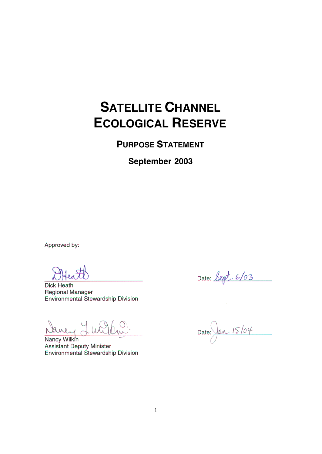## **SATELLITE CHANNEL ECOLOGICAL RESERVE**

**PURPOSE STATEMENT**

**September 2003**

Approved by:

**Dick Heath Regional Manager** Environmental Stewardship Division

Nancy Wilkin **Assistant Deputy Minister** Environmental Stewardship Division

Date: Sept. 6/03

Date:  $\sqrt{an.15/04}$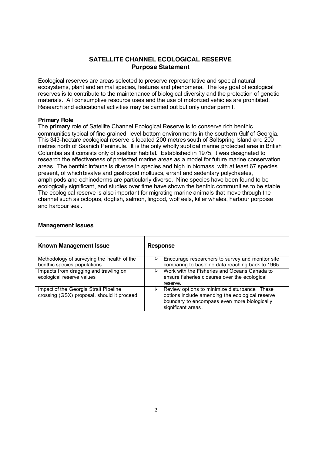## **SATELLITE CHANNEL ECOLOGICAL RESERVE Purpose Statement**

Ecological reserves are areas selected to preserve representative and special natural ecosystems, plant and animal species, features and phenomena. The key goal of ecological reserves is to contribute to the maintenance of biological diversity and the protection of genetic materials. All consumptive resource uses and the use of motorized vehicles are prohibited. Research and educational activities may be carried out but only under permit.

## **Primary Role**

The **primary** role of Satellite Channel Ecological Reserve is to conserve rich benthic communities typical of fine-grained, level-bottom environments in the southern Gulf of Georgia. This 343-hectare ecological reserve is located 200 metres south of Saltspring Island and 200 metres north of Saanich Peninsula. It is the only wholly subtidal marine protected area in British Columbia as it consists only of seafloor habitat. Established in 1975, it was designated to research the effectiveness of protected marine areas as a model for future marine conservation areas. The benthic infauna is diverse in species and high in biomass, with at least 67 species present, of which bivalve and gastropod molluscs, errant and sedentary polychaetes, amphipods and echinoderms are particularly diverse. Nine species have been found to be ecologically significant, and studies over time have shown the benthic communities to be stable. The ecological reserve is also important for migrating marine animals that move through the channel such as octopus, dogfish, salmon, lingcod, wolf eels, killer whales, harbour porpoise and harbour seal.

| <b>Known Management Issue</b>                                                       | <b>Response</b>                                                                                                                                                                         |  |
|-------------------------------------------------------------------------------------|-----------------------------------------------------------------------------------------------------------------------------------------------------------------------------------------|--|
| Methodology of surveying the health of the<br>benthic species populations           | Encourage researchers to survey and monitor site<br>⋗<br>comparing to baseline data reaching back to 1965.                                                                              |  |
| Impacts from dragging and trawling on<br>ecological reserve values                  | Work with the Fisheries and Oceans Canada to<br>⋗<br>ensure fisheries closures over the ecological<br>reserve.                                                                          |  |
| Impact of the Georgia Strait Pipeline<br>crossing (GSX) proposal, should it proceed | $\triangleright$ Review options to minimize disturbance. These<br>options include amending the ecological reserve<br>boundary to encompass even more biologically<br>significant areas. |  |

## **Management Issues**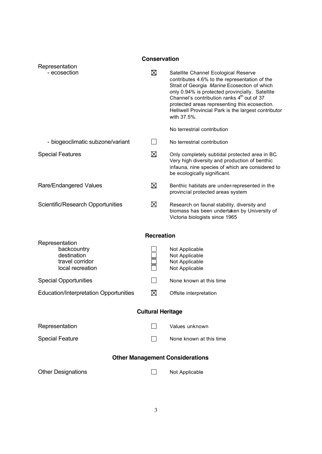| <b>Conservation</b>                                                                 |                |                                                                                                                                                                                                                                                                                                                                                                                                           |  |  |
|-------------------------------------------------------------------------------------|----------------|-----------------------------------------------------------------------------------------------------------------------------------------------------------------------------------------------------------------------------------------------------------------------------------------------------------------------------------------------------------------------------------------------------------|--|--|
| Representation<br>- ecosection                                                      | ⊠              | Satellite Channel Ecological Reserve<br>contributes 4.6% to the representation of the<br>Strait of Georgia Marine Ecosection of which<br>only 0.94% is protected provincially. Satellite<br>Channel's contribution ranks 4 <sup>th</sup> out of 37<br>protected areas representing this ecosection.<br>Helliwell Provincial Park is the largest contributor<br>with 37.5%.<br>No terrestrial contribution |  |  |
| - biogeoclimatic subzone/variant                                                    | $\blacksquare$ | No terrestrial contribution                                                                                                                                                                                                                                                                                                                                                                               |  |  |
| <b>Special Features</b>                                                             | ⊠              | Only completely subtidal protected area in BC.<br>Very high diversity and production of benthic<br>infauna, nine species of which are considered to<br>be ecologically significant.                                                                                                                                                                                                                       |  |  |
| Rare/Endangered Values                                                              | ⊠              | Benthic habitats are under-represented in the<br>provincial protected areas system                                                                                                                                                                                                                                                                                                                        |  |  |
| Scientific/Research Opportunities                                                   | ⊠              | Research on faunal stability, diversity and<br>biomass has been undertaken by University of<br>Victoria biologists since 1965                                                                                                                                                                                                                                                                             |  |  |
| <b>Recreation</b>                                                                   |                |                                                                                                                                                                                                                                                                                                                                                                                                           |  |  |
| Representation<br>backcountry<br>destination<br>travel corridor<br>local recreation |                | Not Applicable<br>Not Applicable<br>Not Applicable<br>Not Applicable                                                                                                                                                                                                                                                                                                                                      |  |  |
| <b>Special Opportunities</b>                                                        |                | None known at this time                                                                                                                                                                                                                                                                                                                                                                                   |  |  |
| <b>Education/Interpretation Opportunities</b>                                       | ⊠              | Offsite interpretation                                                                                                                                                                                                                                                                                                                                                                                    |  |  |
| <b>Cultural Heritage</b>                                                            |                |                                                                                                                                                                                                                                                                                                                                                                                                           |  |  |
| Representation                                                                      |                | Values unknown                                                                                                                                                                                                                                                                                                                                                                                            |  |  |
| <b>Special Feature</b>                                                              | $\mathsf{L}$   | None known at this time                                                                                                                                                                                                                                                                                                                                                                                   |  |  |
| <b>Other Management Considerations</b>                                              |                |                                                                                                                                                                                                                                                                                                                                                                                                           |  |  |
| <b>Other Designations</b>                                                           | $\blacksquare$ | Not Applicable                                                                                                                                                                                                                                                                                                                                                                                            |  |  |